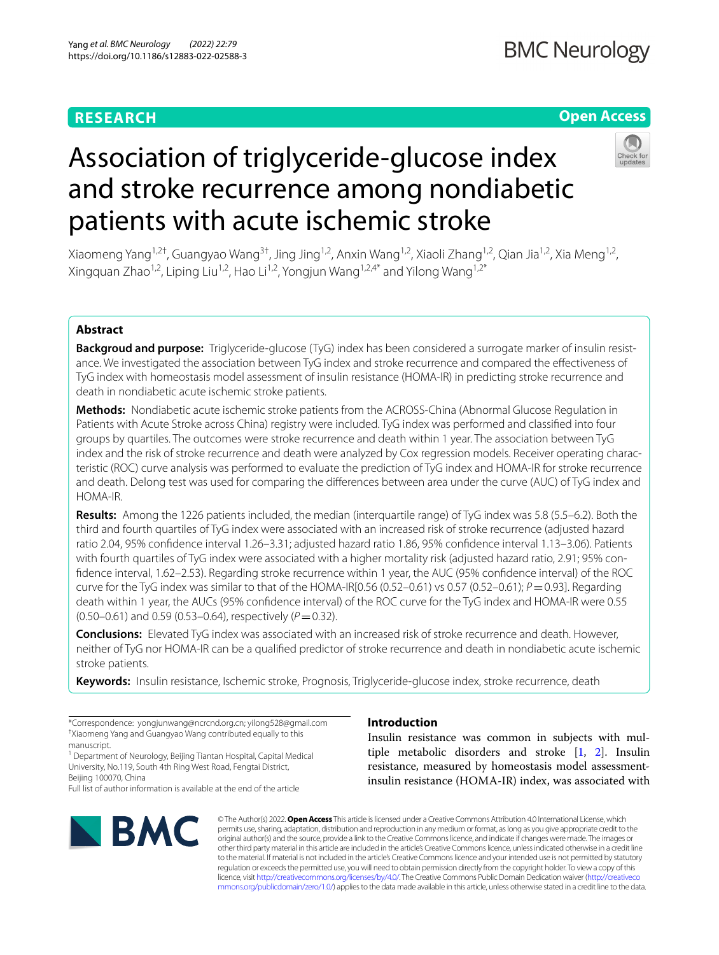# **RESEARCH**

# **Open Access**

# Association of triglyceride-glucose index and stroke recurrence among nondiabetic patients with acute ischemic stroke

Xiaomeng Yang<sup>1,2†</sup>, Guangyao Wang<sup>3†</sup>, Jing Jing<sup>1,2</sup>, Anxin Wang<sup>1,2</sup>, Xiaoli Zhang<sup>1,2</sup>, Qian Jia<sup>1,2</sup>, Xia Meng<sup>1,2</sup>, Xingquan Zhao<sup>1,2</sup>, Liping Liu<sup>1,2</sup>, Hao Li<sup>1,2</sup>, Yongjun Wang<sup>1,2,4\*</sup> and Yilong Wang<sup>1,2\*</sup>

## **Abstract**

**Backgroud and purpose:** Triglyceride-glucose (TyG) index has been considered a surrogate marker of insulin resistance. We investigated the association between TyG index and stroke recurrence and compared the efectiveness of TyG index with homeostasis model assessment of insulin resistance (HOMA-IR) in predicting stroke recurrence and death in nondiabetic acute ischemic stroke patients.

**Methods:** Nondiabetic acute ischemic stroke patients from the ACROSS-China (Abnormal Glucose Regulation in Patients with Acute Stroke across China) registry were included. TyG index was performed and classifed into four groups by quartiles. The outcomes were stroke recurrence and death within 1 year. The association between TyG index and the risk of stroke recurrence and death were analyzed by Cox regression models. Receiver operating characteristic (ROC) curve analysis was performed to evaluate the prediction of TyG index and HOMA-IR for stroke recurrence and death. Delong test was used for comparing the diferences between area under the curve (AUC) of TyG index and HOMA-IR.

**Results:** Among the 1226 patients included, the median (interquartile range) of TyG index was 5.8 (5.5–6.2). Both the third and fourth quartiles of TyG index were associated with an increased risk of stroke recurrence (adjusted hazard ratio 2.04, 95% confdence interval 1.26–3.31; adjusted hazard ratio 1.86, 95% confdence interval 1.13–3.06). Patients with fourth quartiles of TyG index were associated with a higher mortality risk (adjusted hazard ratio, 2.91; 95% confdence interval, 1.62–2.53). Regarding stroke recurrence within 1 year, the AUC (95% confdence interval) of the ROC curve for the TyG index was similar to that of the HOMA-IR $[0.56 (0.52-0.61)$  vs  $0.57 (0.52-0.61); P = 0.93$ ]. Regarding death within 1 year, the AUCs (95% confdence interval) of the ROC curve for the TyG index and HOMA-IR were 0.55  $(0.50-0.61)$  and 0.59 (0.53-0.64), respectively ( $P=0.32$ ).

**Conclusions:** Elevated TyG index was associated with an increased risk of stroke recurrence and death. However, neither of TyG nor HOMA-IR can be a qualifed predictor of stroke recurrence and death in nondiabetic acute ischemic stroke patients.

**Keywords:** Insulin resistance, Ischemic stroke, Prognosis, Triglyceride-glucose index, stroke recurrence, death

<sup>1</sup> Department of Neurology, Beijing Tiantan Hospital, Capital Medical University, No.119, South 4th Ring West Road, Fengtai District, Beijing 100070, China

Full list of author information is available at the end of the article



# **Introduction**

Insulin resistance was common in subjects with multiple metabolic disorders and stroke [[1,](#page-7-0) [2\]](#page-7-1). Insulin resistance, measured by homeostasis model assessmentinsulin resistance (HOMA-IR) index, was associated with

© The Author(s) 2022. **Open Access** This article is licensed under a Creative Commons Attribution 4.0 International License, which permits use, sharing, adaptation, distribution and reproduction in any medium or format, as long as you give appropriate credit to the original author(s) and the source, provide a link to the Creative Commons licence, and indicate if changes were made. The images or other third party material in this article are included in the article's Creative Commons licence, unless indicated otherwise in a credit line to the material. If material is not included in the article's Creative Commons licence and your intended use is not permitted by statutory regulation or exceeds the permitted use, you will need to obtain permission directly from the copyright holder. To view a copy of this licence, visit [http://creativecommons.org/licenses/by/4.0/.](http://creativecommons.org/licenses/by/4.0/) The Creative Commons Public Domain Dedication waiver ([http://creativeco](http://creativecommons.org/publicdomain/zero/1.0/) [mmons.org/publicdomain/zero/1.0/](http://creativecommons.org/publicdomain/zero/1.0/)) applies to the data made available in this article, unless otherwise stated in a credit line to the data.

<sup>\*</sup>Correspondence: yongjunwang@ncrcnd.org.cn; yilong528@gmail.com † Xiaomeng Yang and Guangyao Wang contributed equally to this manuscript.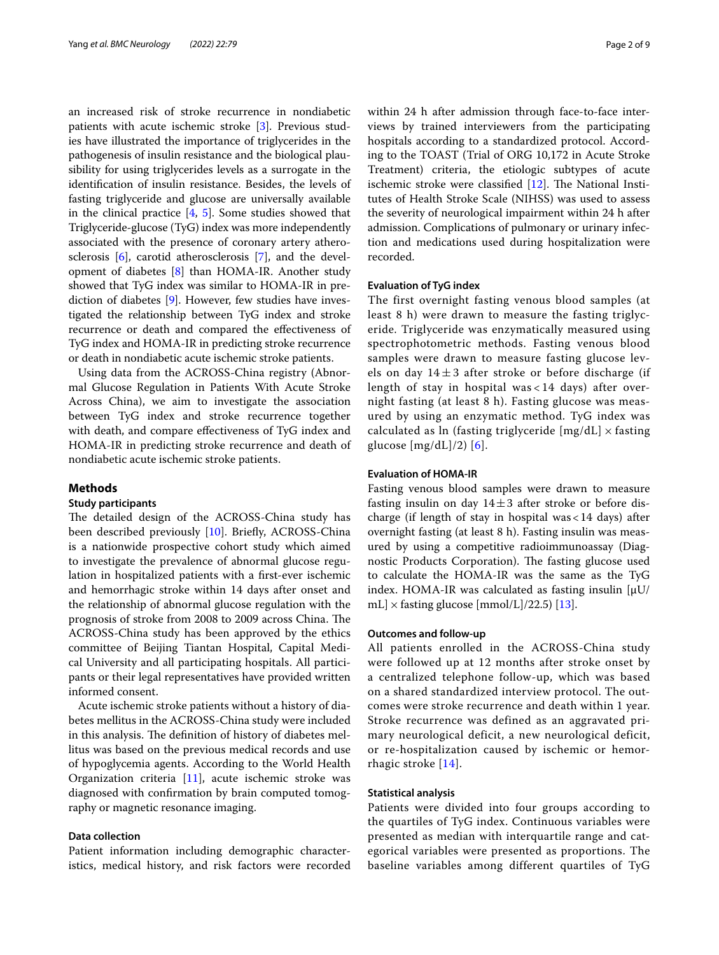an increased risk of stroke recurrence in nondiabetic patients with acute ischemic stroke [\[3](#page-7-2)]. Previous studies have illustrated the importance of triglycerides in the pathogenesis of insulin resistance and the biological plausibility for using triglycerides levels as a surrogate in the identifcation of insulin resistance. Besides, the levels of fasting triglyceride and glucose are universally available in the clinical practice [[4,](#page-7-3) [5](#page-7-4)]. Some studies showed that Triglyceride-glucose (TyG) index was more independently associated with the presence of coronary artery atherosclerosis [\[6](#page-7-5)], carotid atherosclerosis [\[7\]](#page-7-6), and the development of diabetes [[8\]](#page-7-7) than HOMA-IR. Another study showed that TyG index was similar to HOMA-IR in prediction of diabetes [[9\]](#page-7-8). However, few studies have investigated the relationship between TyG index and stroke recurrence or death and compared the efectiveness of TyG index and HOMA-IR in predicting stroke recurrence or death in nondiabetic acute ischemic stroke patients.

Using data from the ACROSS-China registry (Abnormal Glucose Regulation in Patients With Acute Stroke Across China), we aim to investigate the association between TyG index and stroke recurrence together with death, and compare efectiveness of TyG index and HOMA-IR in predicting stroke recurrence and death of nondiabetic acute ischemic stroke patients.

#### **Methods**

#### **Study participants**

The detailed design of the ACROSS-China study has been described previously [\[10\]](#page-7-9). Briefy, ACROSS-China is a nationwide prospective cohort study which aimed to investigate the prevalence of abnormal glucose regulation in hospitalized patients with a frst-ever ischemic and hemorrhagic stroke within 14 days after onset and the relationship of abnormal glucose regulation with the prognosis of stroke from 2008 to 2009 across China. The ACROSS-China study has been approved by the ethics committee of Beijing Tiantan Hospital, Capital Medical University and all participating hospitals. All participants or their legal representatives have provided written informed consent.

Acute ischemic stroke patients without a history of diabetes mellitus in the ACROSS-China study were included in this analysis. The definition of history of diabetes mellitus was based on the previous medical records and use of hypoglycemia agents. According to the World Health Organization criteria [[11](#page-7-10)], acute ischemic stroke was diagnosed with confrmation by brain computed tomography or magnetic resonance imaging.

#### **Data collection**

Patient information including demographic characteristics, medical history, and risk factors were recorded within 24 h after admission through face-to-face interviews by trained interviewers from the participating hospitals according to a standardized protocol. According to the TOAST (Trial of ORG 10,172 in Acute Stroke Treatment) criteria, the etiologic subtypes of acute ischemic stroke were classified  $[12]$  $[12]$ . The National Institutes of Health Stroke Scale (NIHSS) was used to assess the severity of neurological impairment within 24 h after admission. Complications of pulmonary or urinary infection and medications used during hospitalization were recorded.

#### **Evaluation of TyG index**

The first overnight fasting venous blood samples (at least 8 h) were drawn to measure the fasting triglyceride. Triglyceride was enzymatically measured using spectrophotometric methods. Fasting venous blood samples were drawn to measure fasting glucose levels on day  $14 \pm 3$  after stroke or before discharge (if length of stay in hospital was < 14 days) after overnight fasting (at least 8 h). Fasting glucose was measured by using an enzymatic method. TyG index was calculated as ln (fasting triglyceride  $[mg/dL] \times$  fasting glucose  $[mg/dL]/2$  [\[6](#page-7-5)].

#### **Evaluation of HOMA‑IR**

Fasting venous blood samples were drawn to measure fasting insulin on day  $14\pm3$  after stroke or before discharge (if length of stay in hospital was<14 days) after overnight fasting (at least 8 h). Fasting insulin was measured by using a competitive radioimmunoassay (Diagnostic Products Corporation). The fasting glucose used to calculate the HOMA-IR was the same as the TyG index. HOMA-IR was calculated as fasting insulin  $[\mu U/H]$ mL]  $\times$  fasting glucose [mmol/L]/22.5) [\[13](#page-7-12)].

#### **Outcomes and follow‑up**

All patients enrolled in the ACROSS-China study were followed up at 12 months after stroke onset by a centralized telephone follow-up, which was based on a shared standardized interview protocol. The outcomes were stroke recurrence and death within 1 year. Stroke recurrence was defined as an aggravated primary neurological deficit, a new neurological deficit, or re-hospitalization caused by ischemic or hemorrhagic stroke [[14](#page-7-13)].

#### **Statistical analysis**

Patients were divided into four groups according to the quartiles of TyG index. Continuous variables were presented as median with interquartile range and categorical variables were presented as proportions. The baseline variables among different quartiles of TyG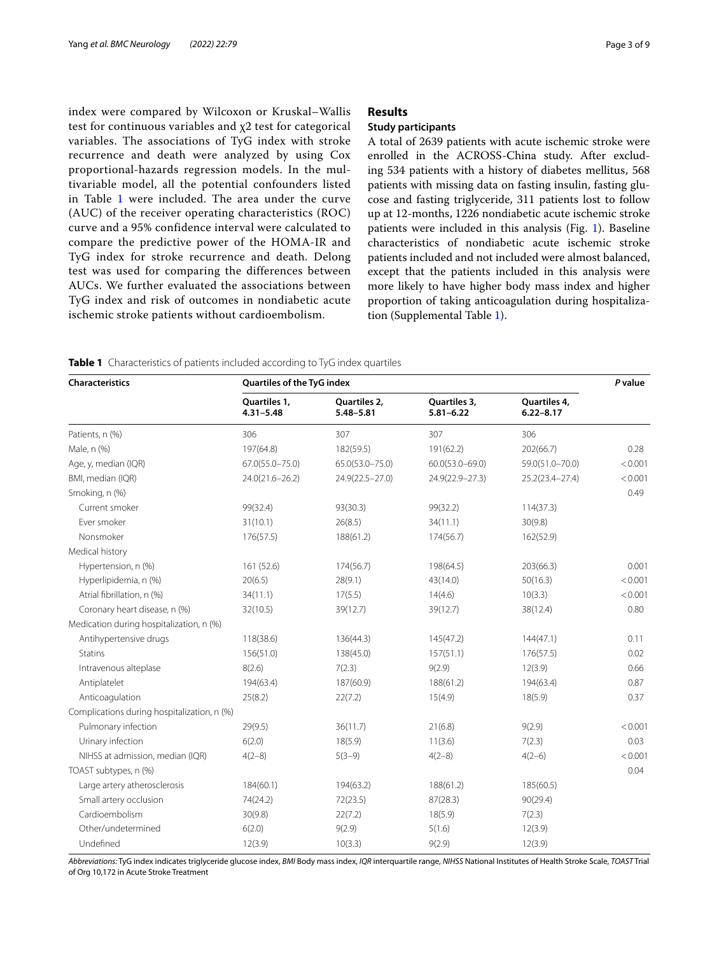index were compared by Wilcoxon or Kruskal–Wallis test for continuous variables and χ2 test for categorical variables. The associations of TyG index with stroke recurrence and death were analyzed by using Cox proportional-hazards regression models. In the multivariable model, all the potential confounders listed in Table [1](#page-2-0) were included. The area under the curve (AUC) of the receiver operating characteristics (ROC) curve and a 95% confidence interval were calculated to compare the predictive power of the HOMA-IR and TyG index for stroke recurrence and death. Delong test was used for comparing the differences between AUCs. We further evaluated the associations between TyG index and risk of outcomes in nondiabetic acute ischemic stroke patients without cardioembolism.

### **Results**

#### **Study participants**

A total of 2639 patients with acute ischemic stroke were enrolled in the ACROSS-China study. After excluding 534 patients with a history of diabetes mellitus, 568 patients with missing data on fasting insulin, fasting glucose and fasting triglyceride, 311 patients lost to follow up at 12-months, 1226 nondiabetic acute ischemic stroke patients were included in this analysis (Fig. [1\)](#page-3-0). Baseline characteristics of nondiabetic acute ischemic stroke patients included and not included were almost balanced, except that the patients included in this analysis were more likely to have higher body mass index and higher proportion of taking anticoagulation during hospitalization (Supplemental Table [1\)](#page-2-0).

<span id="page-2-0"></span>

|  | Table 1 Characteristics of patients included according to TyG index quartiles |  |  |  |  |  |  |
|--|-------------------------------------------------------------------------------|--|--|--|--|--|--|
|--|-------------------------------------------------------------------------------|--|--|--|--|--|--|

| <b>Characteristics</b>                      | Quartiles of the TyG index    |                               |                               |                               |         |  |  |
|---------------------------------------------|-------------------------------|-------------------------------|-------------------------------|-------------------------------|---------|--|--|
|                                             | Quartiles 1,<br>$4.31 - 5.48$ | Quartiles 2,<br>$5.48 - 5.81$ | Quartiles 3,<br>$5.81 - 6.22$ | Quartiles 4,<br>$6.22 - 8.17$ |         |  |  |
| Patients, n (%)                             | 306                           | 307                           | 307                           | 306                           |         |  |  |
| Male, n (%)                                 | 197(64.8)                     | 182(59.5)                     | 191(62.2)                     | 202(66.7)                     | 0.28    |  |  |
| Age, y, median (IQR)                        | 67.0(55.0-75.0)               | 65.0(53.0-75.0)               | $60.0(53.0 - 69.0)$           | 59.0(51.0-70.0)               | < 0.001 |  |  |
| BMI, median (IQR)                           | 24.0(21.6-26.2)               | 24.9(22.5-27.0)               | 24.9(22.9-27.3)               | 25.2(23.4-27.4)               | < 0.001 |  |  |
| Smoking, n (%)                              |                               |                               |                               |                               | 0.49    |  |  |
| Current smoker                              | 99(32.4)                      | 93(30.3)                      | 99(32.2)                      | 114(37.3)                     |         |  |  |
| Ever smoker                                 | 31(10.1)                      | 26(8.5)                       | 34(11.1)                      | 30(9.8)                       |         |  |  |
| Nonsmoker                                   | 176(57.5)                     | 188(61.2)                     | 174(56.7)                     | 162(52.9)                     |         |  |  |
| Medical history                             |                               |                               |                               |                               |         |  |  |
| Hypertension, n (%)                         | 161 (52.6)                    | 174(56.7)                     | 198(64.5)                     | 203(66.3)                     | 0.001   |  |  |
| Hyperlipidemia, n (%)                       | 20(6.5)                       | 28(9.1)                       | 43(14.0)                      | 50(16.3)                      | < 0.001 |  |  |
| Atrial fibrillation, n (%)                  | 34(11.1)                      | 17(5.5)                       | 14(4.6)                       | 10(3.3)                       | < 0.001 |  |  |
| Coronary heart disease, n (%)               | 32(10.5)                      | 39(12.7)                      | 39(12.7)                      | 38(12.4)                      | 0.80    |  |  |
| Medication during hospitalization, n (%)    |                               |                               |                               |                               |         |  |  |
| Antihypertensive drugs                      | 118(38.6)                     | 136(44.3)                     | 145(47.2)                     | 144(47.1)                     | 0.11    |  |  |
| <b>Statins</b>                              | 156(51.0)                     | 138(45.0)                     | 157(51.1)                     | 176(57.5)                     | 0.02    |  |  |
| Intravenous alteplase                       | 8(2.6)                        | 7(2.3)                        | 9(2.9)                        | 12(3.9)                       | 0.66    |  |  |
| Antiplatelet                                | 194(63.4)                     | 187(60.9)                     | 188(61.2)                     | 194(63.4)                     | 0.87    |  |  |
| Anticoagulation                             | 25(8.2)                       | 22(7.2)                       | 15(4.9)                       | 18(5.9)                       | 0.37    |  |  |
| Complications during hospitalization, n (%) |                               |                               |                               |                               |         |  |  |
| Pulmonary infection                         | 29(9.5)                       | 36(11.7)                      | 21(6.8)                       | 9(2.9)                        | < 0.001 |  |  |
| Urinary infection                           | 6(2.0)                        | 18(5.9)                       | 11(3.6)                       | 7(2.3)                        | 0.03    |  |  |
| NIHSS at admission, median (IQR)            | $4(2-8)$                      | $5(3-9)$                      | $4(2-8)$                      | $4(2-6)$                      | < 0.001 |  |  |
| TOAST subtypes, n (%)                       |                               |                               |                               |                               | 0.04    |  |  |
| Large artery atherosclerosis                | 184(60.1)                     | 194(63.2)                     | 188(61.2)                     | 185(60.5)                     |         |  |  |
| Small artery occlusion                      | 74(24.2)                      | 72(23.5)                      | 87(28.3)                      | 90(29.4)                      |         |  |  |
| Cardioembolism                              | 30(9.8)                       | 22(7.2)                       | 18(5.9)                       | 7(2.3)                        |         |  |  |
| Other/undetermined                          | 6(2.0)                        | 9(2.9)                        | 5(1.6)                        | 12(3.9)                       |         |  |  |
| Undefined                                   | 12(3.9)                       | 10(3.3)                       | 9(2.9)                        | 12(3.9)                       |         |  |  |

*Abbreviations:* TyG index indicates triglyceride glucose index, *BMI* Body mass index, *IQR* interquartile range, *NIHSS* National Institutes of Health Stroke Scale, *TOAST* Trial of Org 10,172 in Acute Stroke Treatment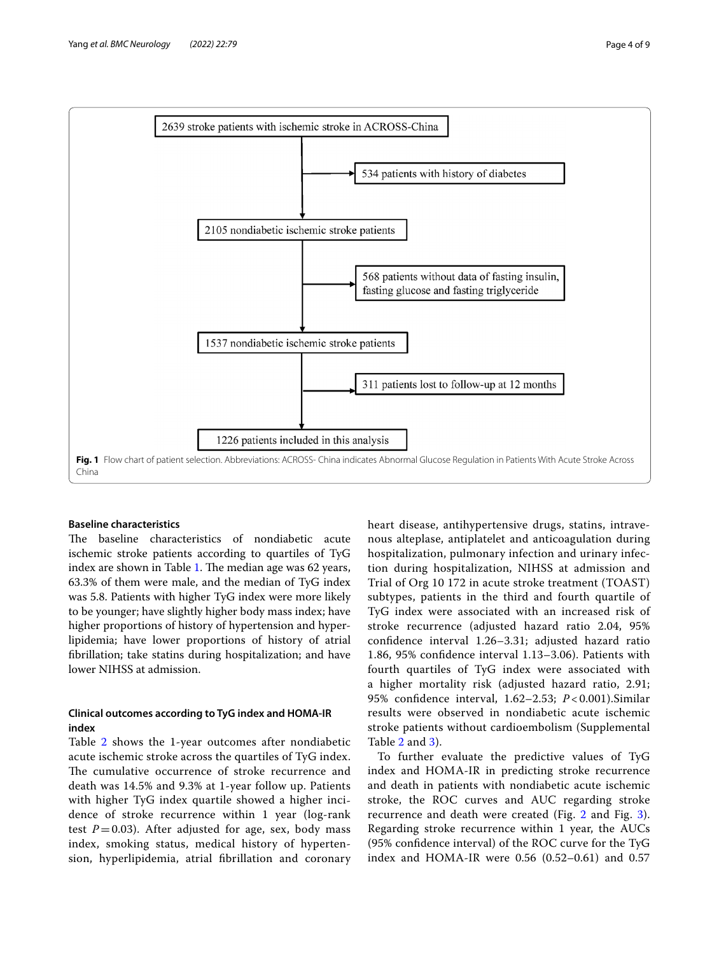

#### <span id="page-3-0"></span>**Baseline characteristics**

The baseline characteristics of nondiabetic acute ischemic stroke patients according to quartiles of TyG index are shown in Table [1.](#page-2-0) The median age was  $62$  years, 63.3% of them were male, and the median of TyG index was 5.8. Patients with higher TyG index were more likely to be younger; have slightly higher body mass index; have higher proportions of history of hypertension and hyperlipidemia; have lower proportions of history of atrial fbrillation; take statins during hospitalization; and have lower NIHSS at admission.

#### **Clinical outcomes according to TyG index and HOMA‑IR index**

Table [2](#page-4-0) shows the 1-year outcomes after nondiabetic acute ischemic stroke across the quartiles of TyG index. The cumulative occurrence of stroke recurrence and death was 14.5% and 9.3% at 1-year follow up. Patients with higher TyG index quartile showed a higher incidence of stroke recurrence within 1 year (log-rank test  $P=0.03$ ). After adjusted for age, sex, body mass index, smoking status, medical history of hypertension, hyperlipidemia, atrial fbrillation and coronary heart disease, antihypertensive drugs, statins, intravenous alteplase, antiplatelet and anticoagulation during hospitalization, pulmonary infection and urinary infection during hospitalization, NIHSS at admission and Trial of Org 10 172 in acute stroke treatment (TOAST) subtypes, patients in the third and fourth quartile of TyG index were associated with an increased risk of stroke recurrence (adjusted hazard ratio 2.04, 95% confdence interval 1.26–3.31; adjusted hazard ratio 1.86, 95% confdence interval 1.13–3.06). Patients with fourth quartiles of TyG index were associated with a higher mortality risk (adjusted hazard ratio, 2.91; 95% confdence interval, 1.62–2.53; *P* < 0.001).Similar results were observed in nondiabetic acute ischemic stroke patients without cardioembolism (Supplemental Table [2](#page-6-0) and [3\)](#page-6-0).

To further evaluate the predictive values of TyG index and HOMA-IR in predicting stroke recurrence and death in patients with nondiabetic acute ischemic stroke, the ROC curves and AUC regarding stroke recurrence and death were created (Fig. [2](#page-4-1) and Fig. [3](#page-5-0)). Regarding stroke recurrence within 1 year, the AUCs (95% confdence interval) of the ROC curve for the TyG index and HOMA-IR were 0.56 (0.52–0.61) and 0.57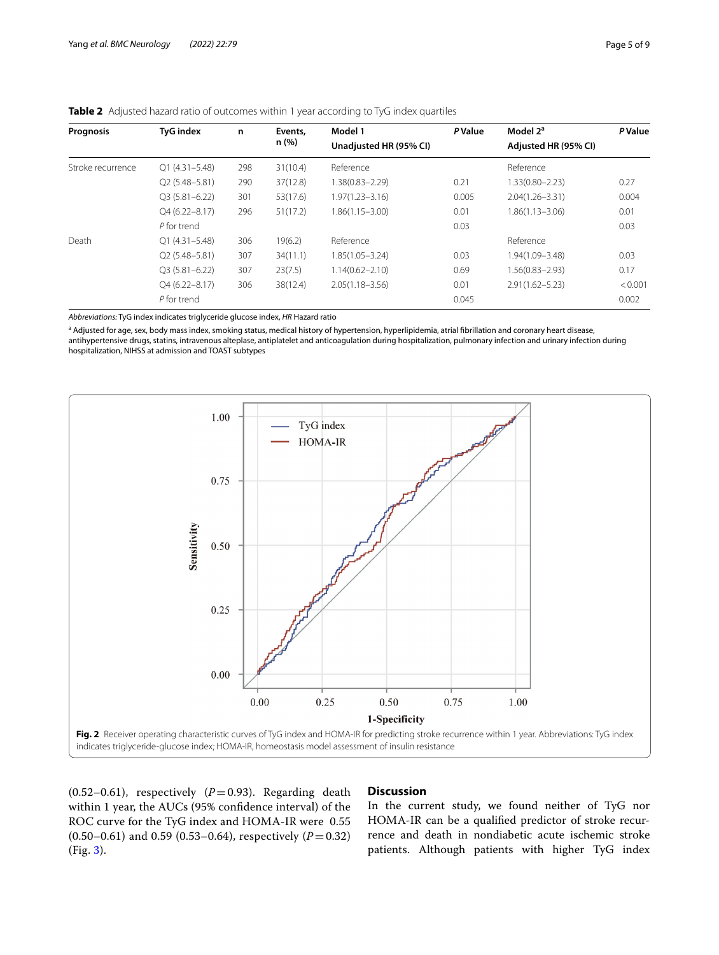| Prognosis         | <b>TyG</b> index  | n   | Events,  | Model 1                | P Value | Model 2 <sup>a</sup> | <b>P</b> Value |
|-------------------|-------------------|-----|----------|------------------------|---------|----------------------|----------------|
|                   |                   |     | n (%)    | Unadjusted HR (95% CI) |         | Adjusted HR (95% CI) |                |
| Stroke recurrence | $Q1(4.31 - 5.48)$ | 298 | 31(10.4) | Reference              |         | Reference            |                |
|                   | $Q2(5.48 - 5.81)$ | 290 | 37(12.8) | $1.38(0.83 - 2.29)$    | 0.21    | $1.33(0.80 - 2.23)$  | 0.27           |
|                   | $Q3(5.81 - 6.22)$ | 301 | 53(17.6) | $1.97(1.23 - 3.16)$    | 0.005   | $2.04(1.26 - 3.31)$  | 0.004          |
|                   | $Q4(6.22 - 8.17)$ | 296 | 51(17.2) | $1.86(1.15 - 3.00)$    | 0.01    | $1.86(1.13 - 3.06)$  | 0.01           |
|                   | P for trend       |     |          |                        | 0.03    |                      | 0.03           |
| Death             | $O1(4.31 - 5.48)$ | 306 | 19(6.2)  | Reference              |         | Reference            |                |
|                   | $Q2(5.48 - 5.81)$ | 307 | 34(11.1) | $1.85(1.05 - 3.24)$    | 0.03    | 1.94(1.09-3.48)      | 0.03           |
|                   | $O3(5.81 - 6.22)$ | 307 | 23(7.5)  | $1.14(0.62 - 2.10)$    | 0.69    | 1.56(0.83-2.93)      | 0.17           |
|                   | $Q4(6.22 - 8.17)$ | 306 | 38(12.4) | $2.05(1.18 - 3.56)$    | 0.01    | $2.91(1.62 - 5.23)$  | < 0.001        |
|                   | P for trend       |     |          |                        | 0.045   |                      | 0.002          |
|                   |                   |     |          |                        |         |                      |                |

<span id="page-4-0"></span>

| Table 2 Adjusted hazard ratio of outcomes within 1 year according to TyG index quartiles |  |  |  |  |
|------------------------------------------------------------------------------------------|--|--|--|--|
|------------------------------------------------------------------------------------------|--|--|--|--|

*Abbreviations:* TyG index indicates triglyceride glucose index, *HR* Hazard ratio

<sup>a</sup> Adjusted for age, sex, body mass index, smoking status, medical history of hypertension, hyperlipidemia, atrial fibrillation and coronary heart disease, antihypertensive drugs, statins, intravenous alteplase, antiplatelet and anticoagulation during hospitalization, pulmonary infection and urinary infection during hospitalization, NIHSS at admission and TOAST subtypes



<span id="page-4-1"></span>(0.52-0.61), respectively  $(P=0.93)$ . Regarding death within 1 year, the AUCs (95% confdence interval) of the ROC curve for the TyG index and HOMA-IR were 0.55  $(0.50-0.61)$  and 0.59 (0.53-0.64), respectively (*P* = 0.32) (Fig. [3\)](#page-5-0).

#### **Discussion**

In the current study, we found neither of TyG nor HOMA-IR can be a qualifed predictor of stroke recurrence and death in nondiabetic acute ischemic stroke patients. Although patients with higher TyG index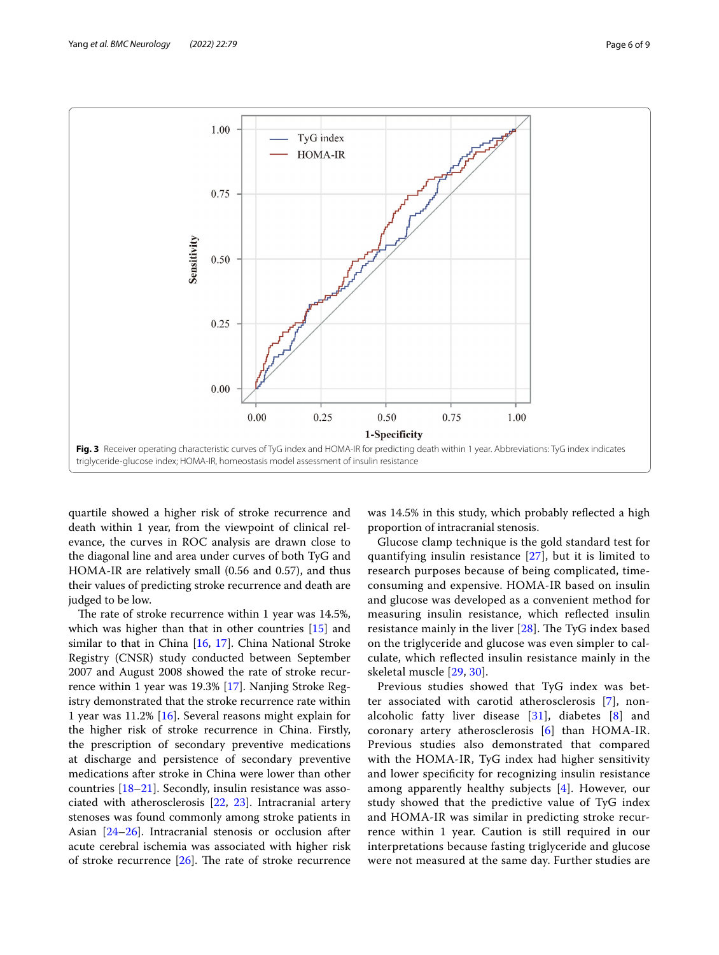

<span id="page-5-0"></span>quartile showed a higher risk of stroke recurrence and death within 1 year, from the viewpoint of clinical relevance, the curves in ROC analysis are drawn close to the diagonal line and area under curves of both TyG and HOMA-IR are relatively small (0.56 and 0.57), and thus their values of predicting stroke recurrence and death are judged to be low.

The rate of stroke recurrence within 1 year was 14.5%, which was higher than that in other countries [[15\]](#page-7-14) and similar to that in China [[16,](#page-7-15) [17](#page-7-16)]. China National Stroke Registry (CNSR) study conducted between September 2007 and August 2008 showed the rate of stroke recurrence within 1 year was 19.3% [\[17](#page-7-16)]. Nanjing Stroke Registry demonstrated that the stroke recurrence rate within 1 year was 11.2% [[16\]](#page-7-15). Several reasons might explain for the higher risk of stroke recurrence in China. Firstly, the prescription of secondary preventive medications at discharge and persistence of secondary preventive medications after stroke in China were lower than other countries [\[18–](#page-7-17)[21\]](#page-7-18). Secondly, insulin resistance was associated with atherosclerosis [\[22,](#page-7-19) [23\]](#page-7-20). Intracranial artery stenoses was found commonly among stroke patients in Asian [\[24](#page-7-21)–[26\]](#page-7-22). Intracranial stenosis or occlusion after acute cerebral ischemia was associated with higher risk of stroke recurrence  $[26]$  $[26]$ . The rate of stroke recurrence was 14.5% in this study, which probably refected a high proportion of intracranial stenosis.

Glucose clamp technique is the gold standard test for quantifying insulin resistance [\[27\]](#page-7-23), but it is limited to research purposes because of being complicated, timeconsuming and expensive. HOMA-IR based on insulin and glucose was developed as a convenient method for measuring insulin resistance, which refected insulin resistance mainly in the liver  $[28]$  $[28]$ . The TyG index based on the triglyceride and glucose was even simpler to calculate, which refected insulin resistance mainly in the skeletal muscle [[29](#page-7-25), [30](#page-7-26)].

Previous studies showed that TyG index was better associated with carotid atherosclerosis [\[7](#page-7-6)], nonalcoholic fatty liver disease [[31\]](#page-7-27), diabetes [[8](#page-7-7)] and coronary artery atherosclerosis [\[6](#page-7-5)] than HOMA-IR. Previous studies also demonstrated that compared with the HOMA-IR, TyG index had higher sensitivity and lower specifcity for recognizing insulin resistance among apparently healthy subjects [[4\]](#page-7-3). However, our study showed that the predictive value of TyG index and HOMA-IR was similar in predicting stroke recurrence within 1 year. Caution is still required in our interpretations because fasting triglyceride and glucose were not measured at the same day. Further studies are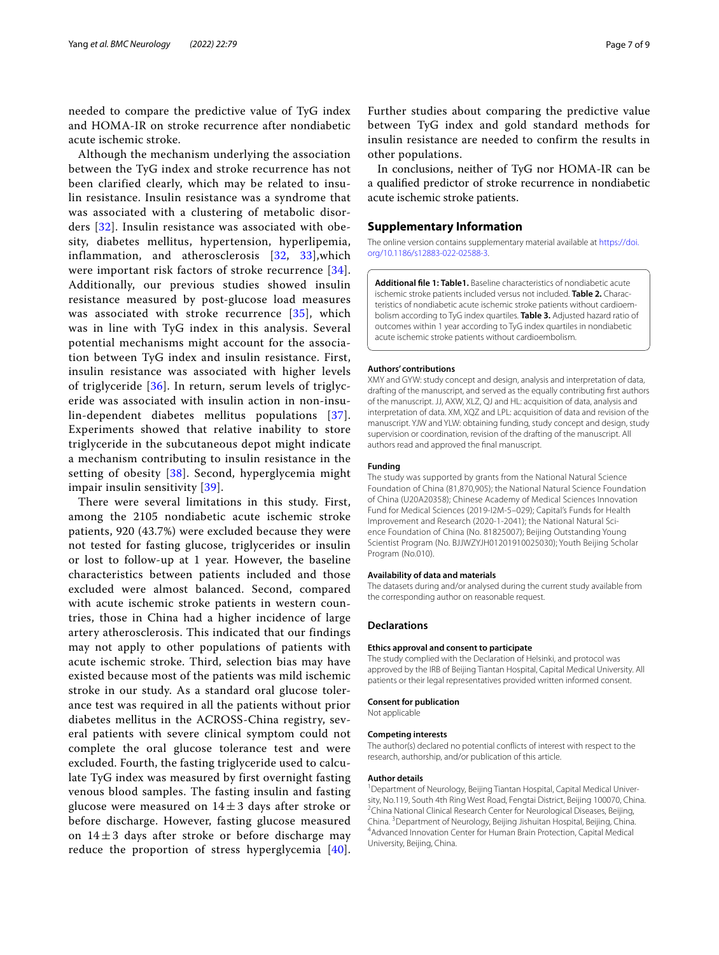needed to compare the predictive value of TyG index and HOMA-IR on stroke recurrence after nondiabetic acute ischemic stroke.

Although the mechanism underlying the association between the TyG index and stroke recurrence has not been clarified clearly, which may be related to insulin resistance. Insulin resistance was a syndrome that was associated with a clustering of metabolic disorders [[32](#page-7-28)]. Insulin resistance was associated with obesity, diabetes mellitus, hypertension, hyperlipemia, inflammation, and atherosclerosis [[32,](#page-7-28) [33\]](#page-7-29),which were important risk factors of stroke recurrence [[34\]](#page-7-30). Additionally, our previous studies showed insulin resistance measured by post-glucose load measures was associated with stroke recurrence [[35](#page-7-31)], which was in line with TyG index in this analysis. Several potential mechanisms might account for the association between TyG index and insulin resistance. First, insulin resistance was associated with higher levels of triglyceride [[36](#page-7-32)]. In return, serum levels of triglyceride was associated with insulin action in non-insulin-dependent diabetes mellitus populations [[37\]](#page-7-33). Experiments showed that relative inability to store triglyceride in the subcutaneous depot might indicate a mechanism contributing to insulin resistance in the setting of obesity [[38](#page-7-34)]. Second, hyperglycemia might impair insulin sensitivity [\[39\]](#page-8-0).

There were several limitations in this study. First, among the 2105 nondiabetic acute ischemic stroke patients, 920 (43.7%) were excluded because they were not tested for fasting glucose, triglycerides or insulin or lost to follow-up at 1 year. However, the baseline characteristics between patients included and those excluded were almost balanced. Second, compared with acute ischemic stroke patients in western countries, those in China had a higher incidence of large artery atherosclerosis. This indicated that our findings may not apply to other populations of patients with acute ischemic stroke. Third, selection bias may have existed because most of the patients was mild ischemic stroke in our study. As a standard oral glucose tolerance test was required in all the patients without prior diabetes mellitus in the ACROSS-China registry, several patients with severe clinical symptom could not complete the oral glucose tolerance test and were excluded. Fourth, the fasting triglyceride used to calculate TyG index was measured by first overnight fasting venous blood samples. The fasting insulin and fasting glucose were measured on  $14 \pm 3$  days after stroke or before discharge. However, fasting glucose measured on  $14 \pm 3$  days after stroke or before discharge may reduce the proportion of stress hyperglycemia [[40\]](#page-8-1).

Further studies about comparing the predictive value between TyG index and gold standard methods for insulin resistance are needed to confirm the results in other populations.

In conclusions, neither of TyG nor HOMA-IR can be a qualifed predictor of stroke recurrence in nondiabetic acute ischemic stroke patients.

#### **Supplementary Information**

The online version contains supplementary material available at [https://doi.](https://doi.org/10.1186/s12883-022-02588-3) [org/10.1186/s12883-022-02588-3](https://doi.org/10.1186/s12883-022-02588-3).

<span id="page-6-0"></span>**Additional fle 1: Table1.** Baseline characteristics of nondiabetic acute ischemic stroke patients included versus not included. **Table 2.** Characteristics of nondiabetic acute ischemic stroke patients without cardioembolism according to TyG index quartiles. **Table 3.** Adjusted hazard ratio of outcomes within 1 year according to TyG index quartiles in nondiabetic acute ischemic stroke patients without cardioembolism.

#### **Authors' contributions**

XMY and GYW: study concept and design, analysis and interpretation of data, drafting of the manuscript, and served as the equally contributing frst authors of the manuscript. JJ, AXW, XLZ, QJ and HL: acquisition of data, analysis and interpretation of data. XM, XQZ and LPL: acquisition of data and revision of the manuscript. YJW and YLW: obtaining funding, study concept and design, study supervision or coordination, revision of the drafting of the manuscript. All authors read and approved the fnal manuscript.

#### **Funding**

The study was supported by grants from the National Natural Science Foundation of China (81,870,905); the National Natural Science Foundation of China (U20A20358); Chinese Academy of Medical Sciences Innovation Fund for Medical Sciences (2019-I2M-5–029); Capital's Funds for Health Improvement and Research (2020-1-2041); the National Natural Science Foundation of China (No. 81825007); Beijing Outstanding Young Scientist Program (No. BJJWZYJH01201910025030); Youth Beijing Scholar Program (No.010).

#### **Availability of data and materials**

The datasets during and/or analysed during the current study available from the corresponding author on reasonable request.

#### **Declarations**

#### **Ethics approval and consent to participate**

The study complied with the Declaration of Helsinki, and protocol was approved by the IRB of Beijing Tiantan Hospital, Capital Medical University. All patients or their legal representatives provided written informed consent.

### **Consent for publication**

Not applicable

#### **Competing interests**

The author(s) declared no potential conficts of interest with respect to the research, authorship, and/or publication of this article.

#### **Author details**

<sup>1</sup> Department of Neurology, Beijing Tiantan Hospital, Capital Medical University, No.119, South 4th Ring West Road, Fengtai District, Beijing 100070, China. 2 <sup>2</sup>China National Clinical Research Center for Neurological Diseases, Beijing, China. <sup>3</sup> Department of Neurology, Beijing Jishuitan Hospital, Beijing, China.<br><sup>4</sup> Advanced Innovation Center for Human Brain Protection. Canital Medical Advanced Innovation Center for Human Brain Protection, Capital Medical University, Beijing, China.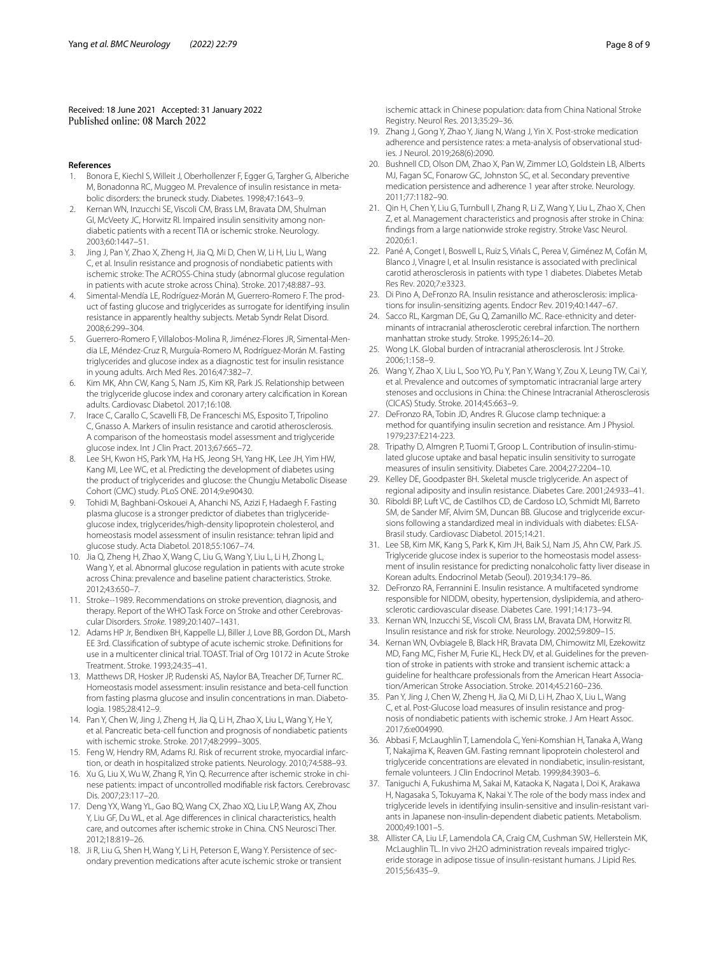Received: 18 June 2021 Accepted: 31 January 2022

#### **References**

- <span id="page-7-0"></span>Bonora E, Kiechl S, Willeit J, Oberhollenzer F, Egger G, Targher G, Alberiche M, Bonadonna RC, Muggeo M. Prevalence of insulin resistance in metabolic disorders: the bruneck study. Diabetes. 1998;47:1643–9.
- <span id="page-7-1"></span>2. Kernan WN, Inzucchi SE, Viscoli CM, Brass LM, Bravata DM, Shulman GI, McVeety JC, Horwitz RI. Impaired insulin sensitivity among nondiabetic patients with a recent TIA or ischemic stroke. Neurology. 2003;60:1447–51.
- <span id="page-7-2"></span>3. Jing J, Pan Y, Zhao X, Zheng H, Jia Q, Mi D, Chen W, Li H, Liu L, Wang C, et al. Insulin resistance and prognosis of nondiabetic patients with ischemic stroke: The ACROSS-China study (abnormal glucose regulation in patients with acute stroke across China). Stroke. 2017;48:887–93.
- <span id="page-7-3"></span>4. Simental-Mendía LE, Rodríguez-Morán M, Guerrero-Romero F. The product of fasting glucose and triglycerides as surrogate for identifying insulin resistance in apparently healthy subjects. Metab Syndr Relat Disord. 2008;6:299–304.
- <span id="page-7-4"></span>5. Guerrero-Romero F, Villalobos-Molina R, Jiménez-Flores JR, Simental-Mendia LE, Méndez-Cruz R, Murguía-Romero M, Rodríguez-Morán M. Fasting triglycerides and glucose index as a diagnostic test for insulin resistance in young adults. Arch Med Res. 2016;47:382–7.
- <span id="page-7-5"></span>6. Kim MK, Ahn CW, Kang S, Nam JS, Kim KR, Park JS. Relationship between the triglyceride glucose index and coronary artery calcifcation in Korean adults. Cardiovasc Diabetol. 2017;16:108.
- <span id="page-7-6"></span>7. Irace C, Carallo C, Scavelli FB, De Franceschi MS, Esposito T, Tripolino C, Gnasso A. Markers of insulin resistance and carotid atherosclerosis. A comparison of the homeostasis model assessment and triglyceride glucose index. Int J Clin Pract. 2013;67:665–72.
- <span id="page-7-7"></span>8. Lee SH, Kwon HS, Park YM, Ha HS, Jeong SH, Yang HK, Lee JH, Yim HW, Kang MI, Lee WC, et al. Predicting the development of diabetes using the product of triglycerides and glucose: the Chungju Metabolic Disease Cohort (CMC) study. PLoS ONE. 2014;9:e90430.
- <span id="page-7-8"></span>9. Tohidi M, Baghbani-Oskouei A, Ahanchi NS, Azizi F, Hadaegh F. Fasting plasma glucose is a stronger predictor of diabetes than triglycerideglucose index, triglycerides/high-density lipoprotein cholesterol, and homeostasis model assessment of insulin resistance: tehran lipid and glucose study. Acta Diabetol. 2018;55:1067–74.
- <span id="page-7-9"></span>10. Jia Q, Zheng H, Zhao X, Wang C, Liu G, Wang Y, Liu L, Li H, Zhong L, Wang Y, et al. Abnormal glucose regulation in patients with acute stroke across China: prevalence and baseline patient characteristics. Stroke. 2012;43:650–7.
- <span id="page-7-10"></span>11. Stroke--1989. Recommendations on stroke prevention, diagnosis, and therapy. Report of the WHO Task Force on Stroke and other Cerebrovascular Disorders. *Stroke*. 1989;20:1407–1431.
- <span id="page-7-11"></span>12. Adams HP Jr, Bendixen BH, Kappelle LJ, Biller J, Love BB, Gordon DL, Marsh EE 3rd. Classifcation of subtype of acute ischemic stroke. Defnitions for use in a multicenter clinical trial. TOAST. Trial of Org 10172 in Acute Stroke Treatment. Stroke. 1993;24:35–41.
- <span id="page-7-12"></span>13. Matthews DR, Hosker JP, Rudenski AS, Naylor BA, Treacher DF, Turner RC. Homeostasis model assessment: insulin resistance and beta-cell function from fasting plasma glucose and insulin concentrations in man. Diabetologia. 1985;28:412–9.
- <span id="page-7-13"></span>14. Pan Y, Chen W, Jing J, Zheng H, Jia Q, Li H, Zhao X, Liu L, Wang Y, He Y, et al. Pancreatic beta-cell function and prognosis of nondiabetic patients with ischemic stroke. Stroke. 2017;48:2999–3005.
- <span id="page-7-14"></span>15. Feng W, Hendry RM, Adams RJ. Risk of recurrent stroke, myocardial infarction, or death in hospitalized stroke patients. Neurology. 2010;74:588–93.
- <span id="page-7-15"></span>16. Xu G, Liu X, Wu W, Zhang R, Yin Q. Recurrence after ischemic stroke in chinese patients: impact of uncontrolled modifable risk factors. Cerebrovasc Dis. 2007;23:117–20.
- <span id="page-7-16"></span>17. Deng YX, Wang YL, Gao BQ, Wang CX, Zhao XQ, Liu LP, Wang AX, Zhou Y, Liu GF, Du WL, et al. Age diferences in clinical characteristics, health care, and outcomes after ischemic stroke in China. CNS Neurosci Ther. 2012;18:819–26.
- <span id="page-7-17"></span>18. Ji R, Liu G, Shen H, Wang Y, Li H, Peterson E, Wang Y. Persistence of secondary prevention medications after acute ischemic stroke or transient

ischemic attack in Chinese population: data from China National Stroke Registry. Neurol Res. 2013;35:29–36.

- 19. Zhang J, Gong Y, Zhao Y, Jiang N, Wang J, Yin X. Post-stroke medication adherence and persistence rates: a meta-analysis of observational studies. J Neurol. 2019;268(6):2090.
- 20. Bushnell CD, Olson DM, Zhao X, Pan W, Zimmer LO, Goldstein LB, Alberts MJ, Fagan SC, Fonarow GC, Johnston SC, et al. Secondary preventive medication persistence and adherence 1 year after stroke. Neurology. 2011;77:1182–90.
- <span id="page-7-18"></span>21. Qin H, Chen Y, Liu G, Turnbull I, Zhang R, Li Z, Wang Y, Liu L, Zhao X, Chen Z, et al. Management characteristics and prognosis after stroke in China: fndings from a large nationwide stroke registry. Stroke Vasc Neurol. 2020;6:1.
- <span id="page-7-19"></span>22. Pané A, Conget I, Boswell L, Ruiz S, Viñals C, Perea V, Giménez M, Cofán M, Blanco J, Vinagre I, et al. Insulin resistance is associated with preclinical carotid atherosclerosis in patients with type 1 diabetes. Diabetes Metab Res Rev. 2020;7:e3323.
- <span id="page-7-20"></span>23. Di Pino A, DeFronzo RA. Insulin resistance and atherosclerosis: implications for insulin-sensitizing agents. Endocr Rev. 2019;40:1447–67.
- <span id="page-7-21"></span>24. Sacco RL, Kargman DE, Gu Q, Zamanillo MC. Race-ethnicity and determinants of intracranial atherosclerotic cerebral infarction. The northern manhattan stroke study. Stroke. 1995;26:14–20.
- 25. Wong LK. Global burden of intracranial atherosclerosis. Int J Stroke. 2006;1:158–9.
- <span id="page-7-22"></span>26. Wang Y, Zhao X, Liu L, Soo YO, Pu Y, Pan Y, Wang Y, Zou X, Leung TW, Cai Y, et al. Prevalence and outcomes of symptomatic intracranial large artery stenoses and occlusions in China: the Chinese Intracranial Atherosclerosis (CICAS) Study. Stroke. 2014;45:663–9.
- <span id="page-7-23"></span>27. DeFronzo RA, Tobin JD, Andres R. Glucose clamp technique: a method for quantifying insulin secretion and resistance. Am J Physiol. 1979;237:E214-223.
- <span id="page-7-24"></span>28. Tripathy D, Almgren P, Tuomi T, Groop L. Contribution of insulin-stimulated glucose uptake and basal hepatic insulin sensitivity to surrogate measures of insulin sensitivity. Diabetes Care. 2004;27:2204–10.
- <span id="page-7-25"></span>29. Kelley DE, Goodpaster BH. Skeletal muscle triglyceride. An aspect of regional adiposity and insulin resistance. Diabetes Care. 2001;24:933–41.
- <span id="page-7-26"></span>30. Riboldi BP, Luft VC, de Castilhos CD, de Cardoso LO, Schmidt MI, Barreto SM, de Sander MF, Alvim SM, Duncan BB. Glucose and triglyceride excursions following a standardized meal in individuals with diabetes: ELSA-Brasil study. Cardiovasc Diabetol. 2015;14:21.
- <span id="page-7-27"></span>31. Lee SB, Kim MK, Kang S, Park K, Kim JH, Baik SJ, Nam JS, Ahn CW, Park JS. Triglyceride glucose index is superior to the homeostasis model assessment of insulin resistance for predicting nonalcoholic fatty liver disease in Korean adults. Endocrinol Metab (Seoul). 2019;34:179–86.
- <span id="page-7-28"></span>32. DeFronzo RA, Ferrannini E. Insulin resistance. A multifaceted syndrome responsible for NIDDM, obesity, hypertension, dyslipidemia, and atherosclerotic cardiovascular disease. Diabetes Care. 1991;14:173–94.
- <span id="page-7-29"></span>33. Kernan WN, Inzucchi SE, Viscoli CM, Brass LM, Bravata DM, Horwitz RI. Insulin resistance and risk for stroke. Neurology. 2002;59:809–15.
- <span id="page-7-30"></span>34. Kernan WN, Ovbiagele B, Black HR, Bravata DM, Chimowitz MI, Ezekowitz MD, Fang MC, Fisher M, Furie KL, Heck DV, et al. Guidelines for the prevention of stroke in patients with stroke and transient ischemic attack: a guideline for healthcare professionals from the American Heart Association/American Stroke Association. Stroke. 2014;45:2160–236.
- <span id="page-7-31"></span>35. Pan Y, Jing J, Chen W, Zheng H, Jia Q, Mi D, Li H, Zhao X, Liu L, Wang C, et al. Post-Glucose load measures of insulin resistance and prognosis of nondiabetic patients with ischemic stroke. J Am Heart Assoc. 2017;6:e004990.
- <span id="page-7-32"></span>36. Abbasi F, McLaughlin T, Lamendola C, Yeni-Komshian H, Tanaka A, Wang T, Nakajima K, Reaven GM. Fasting remnant lipoprotein cholesterol and triglyceride concentrations are elevated in nondiabetic, insulin-resistant, female volunteers. J Clin Endocrinol Metab. 1999;84:3903–6.
- <span id="page-7-33"></span>37. Taniguchi A, Fukushima M, Sakai M, Kataoka K, Nagata I, Doi K, Arakawa H, Nagasaka S, Tokuyama K, Nakai Y. The role of the body mass index and triglyceride levels in identifying insulin-sensitive and insulin-resistant variants in Japanese non-insulin-dependent diabetic patients. Metabolism. 2000;49:1001–5.
- <span id="page-7-34"></span>38. Allister CA, Liu LF, Lamendola CA, Craig CM, Cushman SW, Hellerstein MK, McLaughlin TL. In vivo 2H2O administration reveals impaired triglyceride storage in adipose tissue of insulin-resistant humans. J Lipid Res. 2015;56:435–9.